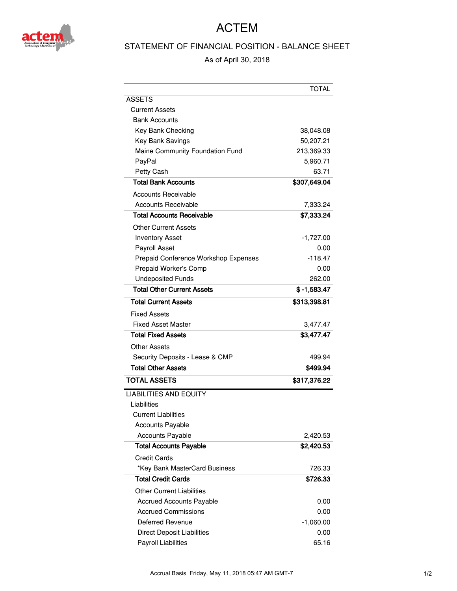

## ACTEM

## STATEMENT OF FINANCIAL POSITION - BALANCE SHEET

As of April 30, 2018

|                                      | <b>TOTAL</b>  |
|--------------------------------------|---------------|
| ASSETS                               |               |
| <b>Current Assets</b>                |               |
| <b>Bank Accounts</b>                 |               |
| Key Bank Checking                    | 38,048.08     |
| Key Bank Savings                     | 50,207.21     |
| Maine Community Foundation Fund      | 213,369.33    |
| PayPal                               | 5,960.71      |
| Petty Cash                           | 63.71         |
| <b>Total Bank Accounts</b>           | \$307,649.04  |
| <b>Accounts Receivable</b>           |               |
| <b>Accounts Receivable</b>           | 7,333.24      |
| Total Accounts Receivable            | \$7,333.24    |
| Other Current Assets                 |               |
| <b>Inventory Asset</b>               | $-1,727.00$   |
| Payroll Asset                        | 0.00          |
| Prepaid Conference Workshop Expenses | $-118.47$     |
| Prepaid Worker's Comp                | 0.00          |
| <b>Undeposited Funds</b>             | 262.00        |
| <b>Total Other Current Assets</b>    | $$ -1,583.47$ |
| <b>Total Current Assets</b>          | \$313,398.81  |
| <b>Fixed Assets</b>                  |               |
| <b>Fixed Asset Master</b>            | 3,477.47      |
| <b>Total Fixed Assets</b>            | \$3,477.47    |
| Other Assets                         |               |
| Security Deposits - Lease & CMP      | 499.94        |
| <b>Total Other Assets</b>            | \$499.94      |
| <b>TOTAL ASSETS</b>                  | \$317,376.22  |
| <b>LIABILITIES AND EQUITY</b>        |               |
| Liabilities                          |               |
| <b>Current Liabilities</b>           |               |
| <b>Accounts Payable</b>              |               |
| <b>Accounts Payable</b>              | 2,420.53      |
| <b>Total Accounts Payable</b>        | \$2,420.53    |
| Credit Cards                         |               |
| *Key Bank MasterCard Business        | 726.33        |
| <b>Total Credit Cards</b>            | \$726.33      |
| <b>Other Current Liabilities</b>     |               |
| <b>Accrued Accounts Payable</b>      | 0.00          |
| <b>Accrued Commissions</b>           | 0.00          |
| Deferred Revenue                     | -1,060.00     |
| <b>Direct Deposit Liabilities</b>    | 0.00          |
| Payroll Liabilities                  | 65.16         |